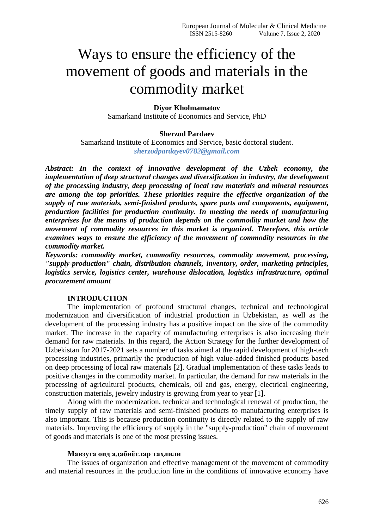# Ways to ensure the efficiency of the movement of goods and materials in the commodity market

# **Diyor Kholmamatov**

Samarkand Institute of Economics and Service, PhD

## **Sherzod Pardaev**

Samarkand Institute of Economics and Service, basic doctoral student. *sherzodpardayev0782@gmail.com*

*Abstract: In the context of innovative development of the Uzbek economy, the implementation of deep structural changes and diversification in industry, the development of the processing industry, deep processing of local raw materials and mineral resources are among the top priorities. These priorities require the effective organization of the supply of raw materials, semi-finished products, spare parts and components, equipment, production facilities for production continuity. In meeting the needs of manufacturing enterprises for the means of production depends on the commodity market and how the movement of commodity resources in this market is organized. Therefore, this article examines ways to ensure the efficiency of the movement of commodity resources in the commodity market.*

*Keywords: commodity market, commodity resources, commodity movement, processing, "supply-production" chain, distribution channels, inventory, order, marketing principles, logistics service, logistics center, warehouse dislocation, logistics infrastructure, optimal procurement amount*

# **INTRODUCTION**

The implementation of profound structural changes, technical and technological modernization and diversification of industrial production in Uzbekistan, as well as the development of the processing industry has a positive impact on the size of the commodity market. The increase in the capacity of manufacturing enterprises is also increasing their demand for raw materials. In this regard, the Action Strategy for the further development of Uzbekistan for 2017-2021 sets a number of tasks aimed at the rapid development of high-tech processing industries, primarily the production of high value-added finished products based on deep processing of local raw materials [2]. Gradual implementation of these tasks leads to positive changes in the commodity market. In particular, the demand for raw materials in the processing of agricultural products, chemicals, oil and gas, energy, electrical engineering, construction materials, jewelry industry is growing from year to year [1].

Along with the modernization, technical and technological renewal of production, the timely supply of raw materials and semi-finished products to manufacturing enterprises is also important. This is because production continuity is directly related to the supply of raw materials. Improving the efficiency of supply in the "supply-production" chain of movement of goods and materials is one of the most pressing issues.

#### **Мавзуга оид адабиётлар таҳлили**

The issues of organization and effective management of the movement of commodity and material resources in the production line in the conditions of innovative economy have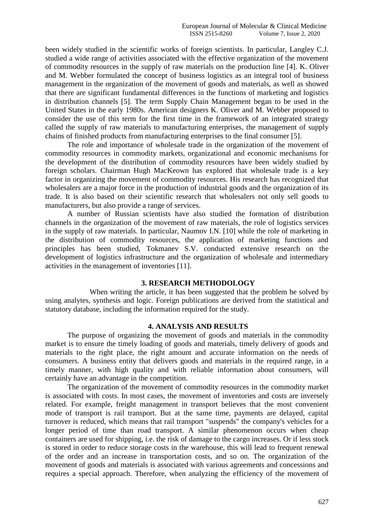been widely studied in the scientific works of foreign scientists. In particular, Langley C.J. studied a wide range of activities associated with the effective organization of the movement of commodity resources in the supply of raw materials on the production line [4]. K. Oliver and M. Webber formulated the concept of business logistics as an integral tool of business management in the organization of the movement of goods and materials, as well as showed that there are significant fundamental differences in the functions of marketing and logistics in distribution channels [5]. The term Supply Chain Management began to be used in the United States in the early 1980s. American designers K. Oliver and M. Webber proposed to consider the use of this term for the first time in the framework of an integrated strategy called the supply of raw materials to manufacturing enterprises, the management of supply chains of finished products from manufacturing enterprises to the final consumer [5].

The role and importance of wholesale trade in the organization of the movement of commodity resources in commodity markets, organizational and economic mechanisms for the development of the distribution of commodity resources have been widely studied by foreign scholars. Chairman Hugh MacKeown has explored that wholesale trade is a key factor in organizing the movement of commodity resources. His research has recognized that wholesalers are a major force in the production of industrial goods and the organization of its trade. It is also based on their scientific research that wholesalers not only sell goods to manufacturers, but also provide a range of services.

A number of Russian scientists have also studied the formation of distribution channels in the organization of the movement of raw materials, the role of logistics services in the supply of raw materials. In particular, Naumov I.N. [10] while the role of marketing in the distribution of commodity resources, the application of marketing functions and principles has been studied, Tokmanev S.V. conducted extensive research on the development of logistics infrastructure and the organization of wholesale and intermediary activities in the management of inventories [11].

## **3. RESEARCH METHODOLOGY**

When writing the article, it has been suggested that the problem be solved by using analytes, synthesis and logic. Foreign publications are derived from the statistical and statutory database, including the information required for the study.

## **4. ANALYSIS AND RESULTS**

The purpose of organizing the movement of goods and materials in the commodity market is to ensure the timely loading of goods and materials, timely delivery of goods and materials to the right place, the right amount and accurate information on the needs of consumers. A business entity that delivers goods and materials in the required range, in a timely manner, with high quality and with reliable information about consumers, will certainly have an advantage in the competition.

The organization of the movement of commodity resources in the commodity market is associated with costs. In most cases, the movement of inventories and costs are inversely related. For example, freight management in transport believes that the most convenient mode of transport is rail transport. But at the same time, payments are delayed, capital turnover is reduced, which means that rail transport "suspends" the company's vehicles for a longer period of time than road transport. A similar phenomenon occurs when cheap containers are used for shipping, i.e. the risk of damage to the cargo increases. Or if less stock is stored in order to reduce storage costs in the warehouse, this will lead to frequent renewal of the order and an increase in transportation costs, and so on. The organization of the movement of goods and materials is associated with various agreements and concessions and requires a special approach. Therefore, when analyzing the efficiency of the movement of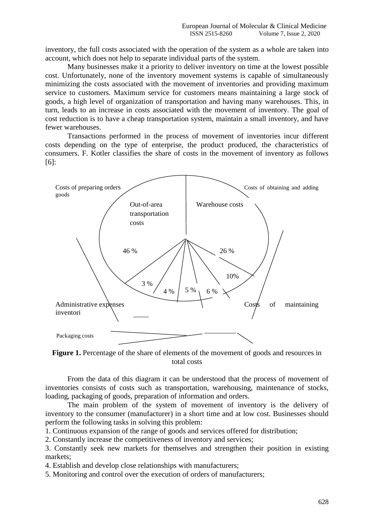inventory, the full costs associated with the operation of the system as a whole are taken into account, which does not help to separate individual parts of the system.

Many businesses make it a priority to deliver inventory on time at the lowest possible cost. Unfortunately, none of the inventory movement systems is capable of simultaneously minimizing the costs associated with the movement of inventories and providing maximum service to customers. Maximum service for customers means maintaining a large stock of goods, a high level of organization of transportation and having many warehouses. This, in turn, leads to an increase in costs associated with the movement of inventory. The goal of cost reduction is to have a cheap transportation system, maintain a small inventory, and have fewer warehouses.

Transactions performed in the process of movement of inventories incur different costs depending on the type of enterprise, the product produced, the characteristics of consumers. F. Kotler classifies the share of costs in the movement of inventory as follows [6]:



Figure 1. Percentage of the share of elements of the movement of goods and resources in total costs

From the data of this diagram it can be understood that the process of movement of inventories consists of costs such as transportation, warehousing, maintenance of stocks, loading, packaging of goods, preparation of information and orders.

The main problem of the system of movement of inventory is the delivery of inventory to the consumer (manufacturer) in a short time and at low cost. Businesses should perform the following tasks in solving this problem:

1. Continuous expansion of the range of goods and services offered for distribution;

2. Constantly increase the competitiveness of inventory and services;

3. Constantly seek new markets for themselves and strengthen their position in existing markets;

4. Establish and develop close relationships with manufacturers;

5. Monitoring and control over the execution of orders of manufacturers;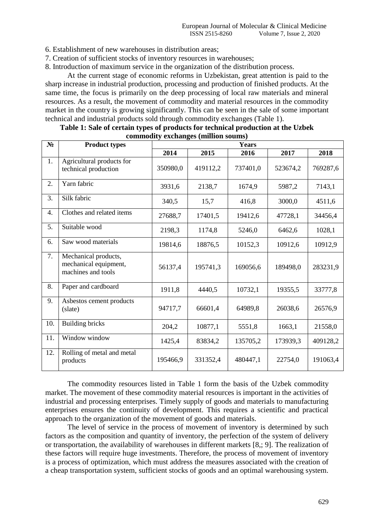6. Establishment of new warehouses in distribution areas;

7. Creation of sufficient stocks of inventory resources in warehouses;

8. Introduction of maximum service in the organization of the distribution process.

At the current stage of economic reforms in Uzbekistan, great attention is paid to the sharp increase in industrial production, processing and production of finished products. At the same time, the focus is primarily on the deep processing of local raw materials and mineral resources. As a result, the movement of commodity and material resources in the commodity market in the country is growing significantly. This can be seen in the sale of some important technical and industrial products sold through commodity exchanges (Table 1).

| $N_2$ | <b>Product types</b>                                                | $\mathbf{commuty}$ exercises (minion source)<br><b>Years</b> |          |          |          |          |
|-------|---------------------------------------------------------------------|--------------------------------------------------------------|----------|----------|----------|----------|
|       |                                                                     | 2014                                                         | 2015     | 2016     | 2017     | 2018     |
| 1.    | Agricultural products for<br>technical production                   | 350980,0                                                     | 419112,2 | 737401,0 | 523674,2 | 769287,6 |
| 2.    | Yarn fabric                                                         | 3931,6                                                       | 2138,7   | 1674,9   | 5987,2   | 7143,1   |
| 3.    | Silk fabric                                                         | 340,5                                                        | 15,7     | 416,8    | 3000,0   | 4511,6   |
| 4.    | Clothes and related items                                           | 27688,7                                                      | 17401,5  | 19412,6  | 47728,1  | 34456,4  |
| 5.    | Suitable wood                                                       | 2198,3                                                       | 1174,8   | 5246,0   | 6462,6   | 1028,1   |
| 6.    | Saw wood materials                                                  | 19814,6                                                      | 18876,5  | 10152,3  | 10912,6  | 10912,9  |
| 7.    | Mechanical products,<br>mechanical equipment,<br>machines and tools | 56137,4                                                      | 195741,3 | 169056,6 | 189498,0 | 283231,9 |
| 8.    | Paper and cardboard                                                 | 1911,8                                                       | 4440,5   | 10732,1  | 19355,5  | 33777,8  |
| 9.    | Asbestos cement products<br>(slate)                                 | 94717,7                                                      | 66601,4  | 64989,8  | 26038,6  | 26576,9  |
| 10.   | <b>Building bricks</b>                                              | 204,2                                                        | 10877,1  | 5551,8   | 1663,1   | 21558,0  |
| 11.   | Window window                                                       | 1425,4                                                       | 83834,2  | 135705,2 | 173939,3 | 409128,2 |
| 12.   | Rolling of metal and metal<br>products                              | 195466,9                                                     | 331352,4 | 480447,1 | 22754,0  | 191063,4 |

| Table 1: Sale of certain types of products for technical production at the Uzbek |  |  |  |  |  |
|----------------------------------------------------------------------------------|--|--|--|--|--|
| commodity exchanges (million soums)                                              |  |  |  |  |  |

The commodity resources listed in Table 1 form the basis of the Uzbek commodity market. The movement of these commodity material resources is important in the activities of industrial and processing enterprises. Timely supply of goods and materials to manufacturing enterprises ensures the continuity of development. This requires a scientific and practical approach to the organization of the movement of goods and materials.

The level of service in the process of movement of inventory is determined by such factors as the composition and quantity of inventory, the perfection of the system of delivery or transportation, the availability of warehouses in different markets [8,; 9]. The realization of these factors will require huge investments. Therefore, the process of movement of inventory is a process of optimization, which must address the measures associated with the creation of a cheap transportation system, sufficient stocks of goods and an optimal warehousing system.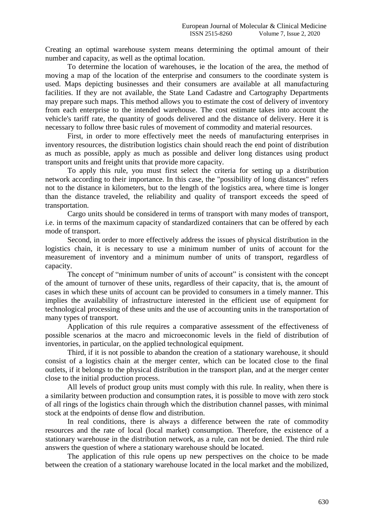Creating an optimal warehouse system means determining the optimal amount of their number and capacity, as well as the optimal location.

To determine the location of warehouses, ie the location of the area, the method of moving a map of the location of the enterprise and consumers to the coordinate system is used. Maps depicting businesses and their consumers are available at all manufacturing facilities. If they are not available, the State Land Cadastre and Cartography Departments may prepare such maps. This method allows you to estimate the cost of delivery of inventory from each enterprise to the intended warehouse. The cost estimate takes into account the vehicle's tariff rate, the quantity of goods delivered and the distance of delivery. Here it is necessary to follow three basic rules of movement of commodity and material resources.

First, in order to more effectively meet the needs of manufacturing enterprises in inventory resources, the distribution logistics chain should reach the end point of distribution as much as possible, apply as much as possible and deliver long distances using product transport units and freight units that provide more capacity.

To apply this rule, you must first select the criteria for setting up a distribution network according to their importance. In this case, the "possibility of long distances" refers not to the distance in kilometers, but to the length of the logistics area, where time is longer than the distance traveled, the reliability and quality of transport exceeds the speed of transportation.

Cargo units should be considered in terms of transport with many modes of transport, i.e. in terms of the maximum capacity of standardized containers that can be offered by each mode of transport.

Second, in order to more effectively address the issues of physical distribution in the logistics chain, it is necessary to use a minimum number of units of account for the measurement of inventory and a minimum number of units of transport, regardless of capacity.

The concept of "minimum number of units of account" is consistent with the concept of the amount of turnover of these units, regardless of their capacity, that is, the amount of cases in which these units of account can be provided to consumers in a timely manner. This implies the availability of infrastructure interested in the efficient use of equipment for technological processing of these units and the use of accounting units in the transportation of many types of transport.

Application of this rule requires a comparative assessment of the effectiveness of possible scenarios at the macro and microeconomic levels in the field of distribution of inventories, in particular, on the applied technological equipment.

Third, if it is not possible to abandon the creation of a stationary warehouse, it should consist of a logistics chain at the merger center, which can be located close to the final outlets, if it belongs to the physical distribution in the transport plan, and at the merger center close to the initial production process.

All levels of product group units must comply with this rule. In reality, when there is a similarity between production and consumption rates, it is possible to move with zero stock of all rings of the logistics chain through which the distribution channel passes, with minimal stock at the endpoints of dense flow and distribution.

In real conditions, there is always a difference between the rate of commodity resources and the rate of local (local market) consumption. Therefore, the existence of a stationary warehouse in the distribution network, as a rule, can not be denied. The third rule answers the question of where a stationary warehouse should be located.

The application of this rule opens up new perspectives on the choice to be made between the creation of a stationary warehouse located in the local market and the mobilized,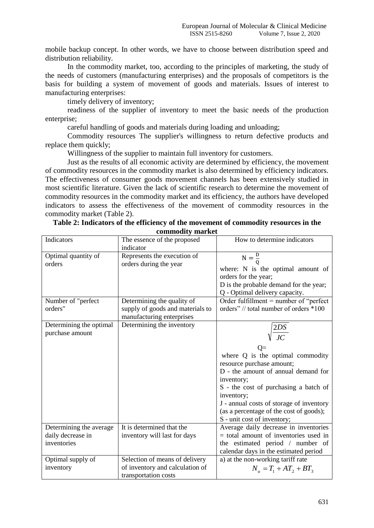mobile backup concept. In other words, we have to choose between distribution speed and distribution reliability.

In the commodity market, too, according to the principles of marketing, the study of the needs of customers (manufacturing enterprises) and the proposals of competitors is the basis for building a system of movement of goods and materials. Issues of interest to manufacturing enterprises:

timely delivery of inventory;

readiness of the supplier of inventory to meet the basic needs of the production enterprise;

careful handling of goods and materials during loading and unloading;

Commodity resources The supplier's willingness to return defective products and replace them quickly;

Willingness of the supplier to maintain full inventory for customers.

Just as the results of all economic activity are determined by efficiency, the movement of commodity resources in the commodity market is also determined by efficiency indicators. The effectiveness of consumer goods movement channels has been extensively studied in most scientific literature. Given the lack of scientific research to determine the movement of commodity resources in the commodity market and its efficiency, the authors have developed indicators to assess the effectiveness of the movement of commodity resources in the commodity market (Table 2).

| Indicators                                                  | The essence of the proposed<br>indicator                                                    | How to determine indicators                                                                                                                                                                                                                                                                                                |
|-------------------------------------------------------------|---------------------------------------------------------------------------------------------|----------------------------------------------------------------------------------------------------------------------------------------------------------------------------------------------------------------------------------------------------------------------------------------------------------------------------|
| Optimal quantity of<br>orders                               | Represents the execution of<br>orders during the year                                       | $N = \frac{D}{Q}$<br>where: N is the optimal amount of<br>orders for the year;<br>D is the probable demand for the year;                                                                                                                                                                                                   |
| Number of "perfect<br>orders"                               | Determining the quality of<br>supply of goods and materials to<br>manufacturing enterprises | Q - Optimal delivery capacity.<br>Order fulfillment $=$ number of "perfect<br>orders" // total number of orders *100                                                                                                                                                                                                       |
| Determining the optimal<br>purchase amount                  | Determining the inventory                                                                   | $\sqrt{\frac{2DS}{JC}}$<br>where Q is the optimal commodity<br>resource purchase amount;<br>D - the amount of annual demand for<br>inventory;<br>S - the cost of purchasing a batch of<br>inventory;<br>J - annual costs of storage of inventory<br>(as a percentage of the cost of goods);<br>S - unit cost of inventory; |
| Determining the average<br>daily decrease in<br>inventories | It is determined that the<br>inventory will last for days                                   | Average daily decrease in inventories<br>$=$ total amount of inventories used in<br>the estimated period / number of<br>calendar days in the estimated period                                                                                                                                                              |
| Optimal supply of<br>inventory                              | Selection of means of delivery<br>of inventory and calculation of<br>transportation costs   | a) at the non-working tariff rate<br>$N_{\mu} = T_1 + AT_2 + BT_3$                                                                                                                                                                                                                                                         |

|  |  |                  | Table 2: Indicators of the efficiency of the movement of commodity resources in the |
|--|--|------------------|-------------------------------------------------------------------------------------|
|  |  | commodity market |                                                                                     |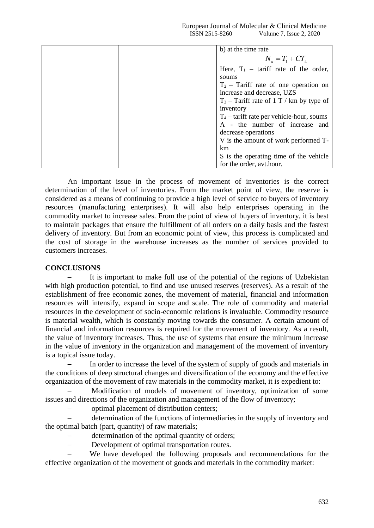| b) at the time rate                         |
|---------------------------------------------|
| $N_e = T_1 + CT_4$                          |
| Here, $T_1$ – tariff rate of the order,     |
| soums                                       |
| $T_2$ – Tariff rate of one operation on     |
| increase and decrease, UZS                  |
| $T_3$ – Tariff rate of 1 T / km by type of  |
| inventory                                   |
| $T_4$ – tariff rate per vehicle-hour, soums |
| A - the number of increase and              |
| decrease operations                         |
| V is the amount of work performed T-        |
| km                                          |
| S is the operating time of the vehicle      |
| for the order, avt.hour.                    |

An important issue in the process of movement of inventories is the correct determination of the level of inventories. From the market point of view, the reserve is considered as a means of continuing to provide a high level of service to buyers of inventory resources (manufacturing enterprises). It will also help enterprises operating in the commodity market to increase sales. From the point of view of buyers of inventory, it is best to maintain packages that ensure the fulfillment of all orders on a daily basis and the fastest delivery of inventory. But from an economic point of view, this process is complicated and the cost of storage in the warehouse increases as the number of services provided to customers increases.

## **CONCLUSIONS**

 It is important to make full use of the potential of the regions of Uzbekistan with high production potential, to find and use unused reserves (reserves). As a result of the establishment of free economic zones, the movement of material, financial and information resources will intensify, expand in scope and scale. The role of commodity and material resources in the development of socio-economic relations is invaluable. Commodity resource is material wealth, which is constantly moving towards the consumer. A certain amount of financial and information resources is required for the movement of inventory. As a result, the value of inventory increases. Thus, the use of systems that ensure the minimum increase in the value of inventory in the organization and management of the movement of inventory is a topical issue today.

 In order to increase the level of the system of supply of goods and materials in the conditions of deep structural changes and diversification of the economy and the effective organization of the movement of raw materials in the commodity market, it is expedient to:

 Modification of models of movement of inventory, optimization of some issues and directions of the organization and management of the flow of inventory;

optimal placement of distribution centers;

 determination of the functions of intermediaries in the supply of inventory and the optimal batch (part, quantity) of raw materials;

- determination of the optimal quantity of orders;
- Development of optimal transportation routes.

 We have developed the following proposals and recommendations for the effective organization of the movement of goods and materials in the commodity market: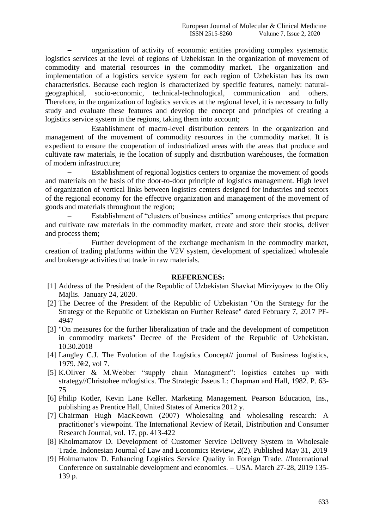organization of activity of economic entities providing complex systematic logistics services at the level of regions of Uzbekistan in the organization of movement of commodity and material resources in the commodity market. The organization and implementation of a logistics service system for each region of Uzbekistan has its own characteristics. Because each region is characterized by specific features, namely: naturalgeographical, socio-economic, technical-technological, communication and others. Therefore, in the organization of logistics services at the regional level, it is necessary to fully study and evaluate these features and develop the concept and principles of creating a logistics service system in the regions, taking them into account;

 Establishment of macro-level distribution centers in the organization and management of the movement of commodity resources in the commodity market. It is expedient to ensure the cooperation of industrialized areas with the areas that produce and cultivate raw materials, ie the location of supply and distribution warehouses, the formation of modern infrastructure;

 Establishment of regional logistics centers to organize the movement of goods and materials on the basis of the door-to-door principle of logistics management. High level of organization of vertical links between logistics centers designed for industries and sectors of the regional economy for the effective organization and management of the movement of goods and materials throughout the region;

 Establishment of "clusters of business entities" among enterprises that prepare and cultivate raw materials in the commodity market, create and store their stocks, deliver and process them;

 Further development of the exchange mechanism in the commodity market, creation of trading platforms within the V2V system, development of specialized wholesale and brokerage activities that trade in raw materials.

## **REFERENCES:**

- [1] Address of the President of the Republic of Uzbekistan Shavkat Mirziyoyev to the Oliy Majlis. January 24, 2020.
- [2] The Decree of the President of the Republic of Uzbekistan "On the Strategy for the Strategy of the Republic of Uzbekistan on Further Release" dated February 7, 2017 PF-4947
- [3] "On measures for the further liberalization of trade and the development of competition in commodity markets" Decree of the President of the Republic of Uzbekistan. 10.30.2018
- [4] Langley C.J. The Evolution of the Logistics Concept// journal of Business logistics, 1979. №2, vol 7.
- [5] K.Oliver & M.Webber "supply chain Managment": logistics catches up with strategy//Christohee m/logistics. The Strategic Jsseus L: Chapman and Hall, 1982. P. 63- 75
- [6] Philip Kotler, Kevin Lane Keller. Marketing Management. Pearson Education, Ins., publishing as Prentice Hall, United States of America 2012 y.
- [7] Chairman Hugh MacKeown (2007) Wholesaling and wholesaling research: A practitioner's viewpoint. The International Review of Retail, Distribution and Consumer Research Journal, vol. 17, pp. 413-422
- [8] Kholmamatov D. Development of Customer Service Delivery System in Wholesale Trade. Indonesian Journal of Law and Economics Review, 2(2). Published May 31, 2019
- [9] Holmamatov D. Enhancing Logistics Service Quality in Foreign Trade. //International Conference on sustainable development and economics. – USA. March 27-28, 2019 135- 139 p.